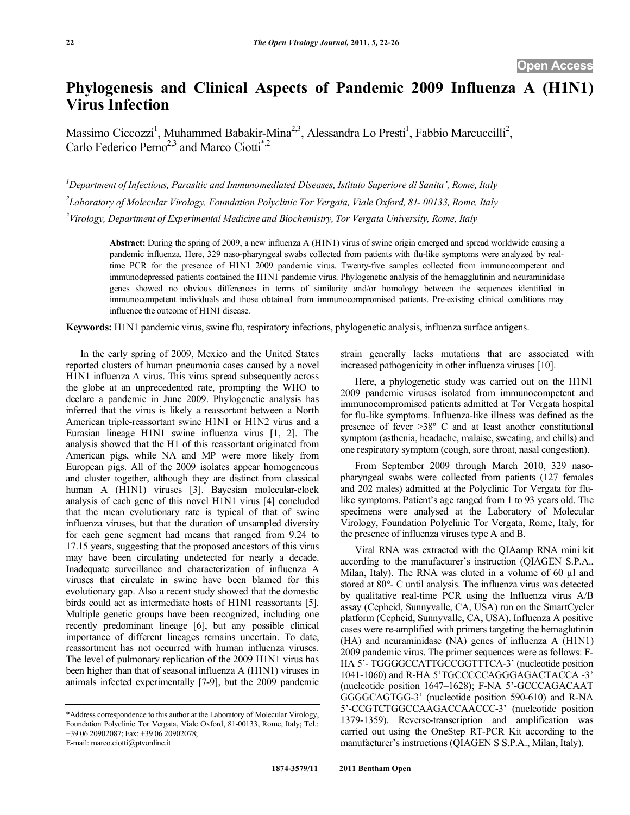## **Phylogenesis and Clinical Aspects of Pandemic 2009 Influenza A (H1N1) Virus Infection**

Massimo Ciccozzi<sup>1</sup>, Muhammed Babakir-Mina<sup>2,3</sup>, Alessandra Lo Presti<sup>1</sup>, Fabbio Marcuccilli<sup>2</sup>, Carlo Federico Perno<sup>2,3</sup> and Marco Ciotti<sup>\*,2</sup>

*1 Department of Infectious, Parasitic and Immunomediated Diseases, Istituto Superiore di Sanita', Rome, Italy 2 Laboratory of Molecular Virology, Foundation Polyclinic Tor Vergata, Viale Oxford, 81- 00133, Rome, Italy 3 Virology, Department of Experimental Medicine and Biochemistry, Tor Vergata University, Rome, Italy* 

> **Abstract:** During the spring of 2009, a new influenza A (H1N1) virus of swine origin emerged and spread worldwide causing a pandemic influenza. Here, 329 naso-pharyngeal swabs collected from patients with flu-like symptoms were analyzed by realtime PCR for the presence of H1N1 2009 pandemic virus. Twenty-five samples collected from immunocompetent and immunodepressed patients contained the H1N1 pandemic virus. Phylogenetic analysis of the hemagglutinin and neuraminidase genes showed no obvious differences in terms of similarity and/or homology between the sequences identified in immunocompetent individuals and those obtained from immunocompromised patients. Pre-existing clinical conditions may influence the outcome of H1N1 disease.

**Keywords:** H1N1 pandemic virus, swine flu, respiratory infections, phylogenetic analysis, influenza surface antigens.

 In the early spring of 2009, Mexico and the United States reported clusters of human pneumonia cases caused by a novel H1N1 influenza A virus. This virus spread subsequently across the globe at an unprecedented rate, prompting the WHO to declare a pandemic in June 2009. Phylogenetic analysis has inferred that the virus is likely a reassortant between a North American triple-reassortant swine H1N1 or H1N2 virus and a Eurasian lineage H1N1 swine influenza virus [1, 2]. The analysis showed that the H1 of this reassortant originated from American pigs, while NA and MP were more likely from European pigs. All of the 2009 isolates appear homogeneous and cluster together, although they are distinct from classical human A (H1N1) viruses [3]. Bayesian molecular-clock analysis of each gene of this novel H1N1 virus [4] concluded that the mean evolutionary rate is typical of that of swine influenza viruses, but that the duration of unsampled diversity for each gene segment had means that ranged from 9.24 to 17.15 years, suggesting that the proposed ancestors of this virus may have been circulating undetected for nearly a decade. Inadequate surveillance and characterization of influenza A viruses that circulate in swine have been blamed for this evolutionary gap. Also a recent study showed that the domestic birds could act as intermediate hosts of H1N1 reassortants [5]. Multiple genetic groups have been recognized, including one recently predominant lineage [6], but any possible clinical importance of different lineages remains uncertain. To date, reassortment has not occurred with human influenza viruses. The level of pulmonary replication of the 2009 H1N1 virus has been higher than that of seasonal influenza A (H1N1) viruses in animals infected experimentally [7-9], but the 2009 pandemic strain generally lacks mutations that are associated with increased pathogenicity in other influenza viruses [10].

 Here, a phylogenetic study was carried out on the H1N1 2009 pandemic viruses isolated from immunocompetent and immunocompromised patients admitted at Tor Vergata hospital for flu-like symptoms. Influenza-like illness was defined as the presence of fever >38º C and at least another constitutional symptom (asthenia, headache, malaise, sweating, and chills) and one respiratory symptom (cough, sore throat, nasal congestion).

 From September 2009 through March 2010, 329 nasopharyngeal swabs were collected from patients (127 females and 202 males) admitted at the Polyclinic Tor Vergata for flulike symptoms. Patient's age ranged from 1 to 93 years old. The specimens were analysed at the Laboratory of Molecular Virology, Foundation Polyclinic Tor Vergata, Rome, Italy, for the presence of influenza viruses type A and B.

 Viral RNA was extracted with the QIAamp RNA mini kit according to the manufacturer's instruction (QIAGEN S.P.A., Milan, Italy). The RNA was eluted in a volume of  $60 \mu l$  and stored at 80°- C until analysis. The influenza virus was detected by qualitative real-time PCR using the Influenza virus A/B assay (Cepheid, Sunnyvalle, CA, USA) run on the SmartCycler platform (Cepheid, Sunnyvalle, CA, USA). Influenza A positive cases were re-amplified with primers targeting the hemaglutinin (HA) and neuraminidase (NA) genes of influenza A (H1N1) 2009 pandemic virus. The primer sequences were as follows: F-HA 5'- TGGGGCCATTGCCGGTTTCA-3' (nucleotide position 1041-1060) and R-HA 5'TGCCCCCAGGGAGACTACCA -3' (nucleotide position 1647–1628); F-NA 5'-GCCCAGACAAT GGGGCAGTGG-3' (nucleotide position 590-610) and R-NA 5'-CCGTCTGGCCAAGACCAACCC-3' (nucleotide position 1379-1359). Reverse-transcription and amplification was carried out using the OneStep RT-PCR Kit according to the manufacturer's instructions (QIAGEN S S.P.A., Milan, Italy).

<sup>\*</sup>Address correspondence to this author at the Laboratory of Molecular Virology, Foundation Polyclinic Tor Vergata, Viale Oxford, 81-00133, Rome, Italy; Tel.: +39 06 20902087; Fax: +39 06 20902078; E-mail: marco.ciotti@ptvonline.it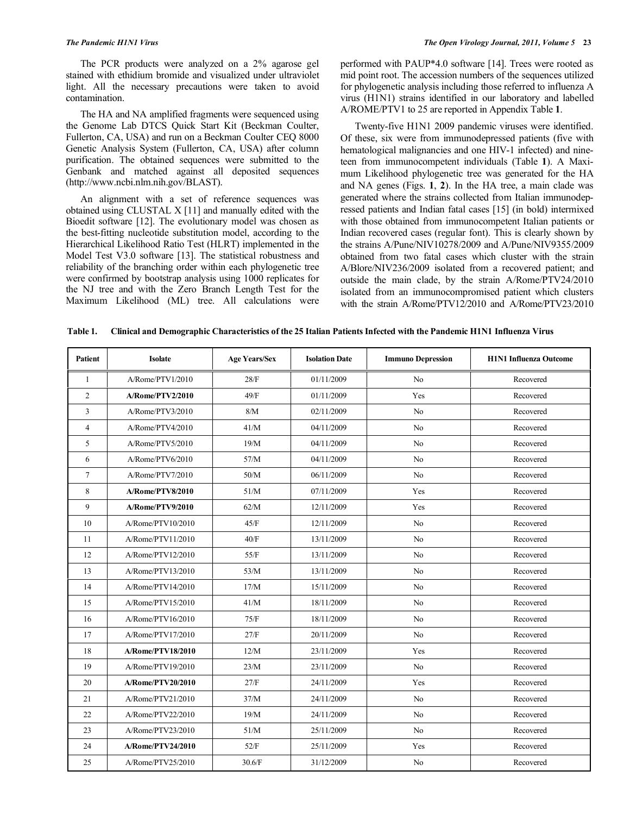The PCR products were analyzed on a 2% agarose gel stained with ethidium bromide and visualized under ultraviolet light. All the necessary precautions were taken to avoid contamination.

 The HA and NA amplified fragments were sequenced using the Genome Lab DTCS Quick Start Kit (Beckman Coulter, Fullerton, CA, USA) and run on a Beckman Coulter CEQ 8000 Genetic Analysis System (Fullerton, CA, USA) after column purification. The obtained sequences were submitted to the Genbank and matched against all deposited sequences (http://www.ncbi.nlm.nih.gov/BLAST).

 An alignment with a set of reference sequences was obtained using CLUSTAL X [11] and manually edited with the Bioedit software [12]. The evolutionary model was chosen as the best-fitting nucleotide substitution model, according to the Hierarchical Likelihood Ratio Test (HLRT) implemented in the Model Test V3.0 software [13]. The statistical robustness and reliability of the branching order within each phylogenetic tree were confirmed by bootstrap analysis using 1000 replicates for the NJ tree and with the Zero Branch Length Test for the Maximum Likelihood (ML) tree. All calculations were

performed with PAUP\*4.0 software [14]. Trees were rooted as mid point root. The accession numbers of the sequences utilized for phylogenetic analysis including those referred to influenza A virus (H1N1) strains identified in our laboratory and labelled A/ROME/PTV1 to 25 are reported in Appendix Table **1**.

 Twenty-five H1N1 2009 pandemic viruses were identified. Of these, six were from immunodepressed patients (five with hematological malignancies and one HIV-1 infected) and nineteen from immunocompetent individuals (Table **1**). A Maximum Likelihood phylogenetic tree was generated for the HA and NA genes (Figs. **1**, **2**). In the HA tree, a main clade was generated where the strains collected from Italian immunodepressed patients and Indian fatal cases [15] (in bold) intermixed with those obtained from immunocompetent Italian patients or Indian recovered cases (regular font). This is clearly shown by the strains A/Pune/NIV10278/2009 and A/Pune/NIV9355/2009 obtained from two fatal cases which cluster with the strain A/Blore/NIV236/2009 isolated from a recovered patient; and outside the main clade, by the strain A/Rome/PTV24/2010 isolated from an immunocompromised patient which clusters with the strain A/Rome/PTV12/2010 and A/Rome/PTV23/2010

| Table 1. |  |  |  | Clinical and Demographic Characteristics of the 25 Italian Patients Infected with the Pandemic H1N1 Influenza Virus |  |
|----------|--|--|--|---------------------------------------------------------------------------------------------------------------------|--|
|----------|--|--|--|---------------------------------------------------------------------------------------------------------------------|--|

| <b>Patient</b> | <b>Isolate</b>    | <b>Age Years/Sex</b> | <b>Isolation Date</b> | <b>Immuno Depression</b> | <b>H1N1</b> Influenza Outcome |  |
|----------------|-------------------|----------------------|-----------------------|--------------------------|-------------------------------|--|
| 1              | A/Rome/PTV1/2010  | 28/F                 | 01/11/2009            | N <sub>o</sub>           | Recovered                     |  |
| $\overline{2}$ | A/Rome/PTV2/2010  | 49/F                 | 01/11/2009            | Yes                      | Recovered                     |  |
| 3              | A/Rome/PTV3/2010  | $8/M$                | 02/11/2009            | N <sub>0</sub>           | Recovered                     |  |
| $\overline{4}$ | A/Rome/PTV4/2010  | 41/M                 | 04/11/2009            | N <sub>o</sub>           | Recovered                     |  |
| 5              | A/Rome/PTV5/2010  | 19/M                 | 04/11/2009            | N <sub>o</sub>           | Recovered                     |  |
| 6              | A/Rome/PTV6/2010  | 57/M                 | 04/11/2009            | N <sub>o</sub>           | Recovered                     |  |
| $\overline{7}$ | A/Rome/PTV7/2010  | 50/M                 | 06/11/2009            | N <sub>0</sub>           | Recovered                     |  |
| 8              | A/Rome/PTV8/2010  | 51/M                 | 07/11/2009            | Yes                      | Recovered                     |  |
| 9              | A/Rome/PTV9/2010  | 62/M                 | 12/11/2009            | Yes                      | Recovered                     |  |
| 10             | A/Rome/PTV10/2010 | 45/F                 | 12/11/2009            | N <sub>0</sub>           | Recovered                     |  |
| 11             | A/Rome/PTV11/2010 | 40/F                 | 13/11/2009            | N <sub>o</sub>           | Recovered                     |  |
| 12             | A/Rome/PTV12/2010 | 55/F                 | 13/11/2009            | N <sub>0</sub>           | Recovered                     |  |
| 13             | A/Rome/PTV13/2010 | 53/M                 | 13/11/2009            | No                       | Recovered                     |  |
| 14             | A/Rome/PTV14/2010 | 17/M                 | 15/11/2009            | N <sub>o</sub>           | Recovered                     |  |
| 15             | A/Rome/PTV15/2010 | 41/M                 | 18/11/2009            | N <sub>0</sub>           | Recovered                     |  |
| 16             | A/Rome/PTV16/2010 | 75/F                 | 18/11/2009            | No                       | Recovered                     |  |
| 17             | A/Rome/PTV17/2010 | 27/F                 | 20/11/2009            | No                       | Recovered                     |  |
| 18             | A/Rome/PTV18/2010 | 12/M                 | 23/11/2009            | Yes                      | Recovered                     |  |
| 19             | A/Rome/PTV19/2010 | 23/M                 | 23/11/2009            | No                       | Recovered                     |  |
| 20             | A/Rome/PTV20/2010 | 27/F                 | 24/11/2009            | Yes                      | Recovered                     |  |
| 21             | A/Rome/PTV21/2010 | 37/M                 | 24/11/2009            | N <sub>0</sub>           | Recovered                     |  |
| 22             | A/Rome/PTV22/2010 | 19/M                 | 24/11/2009            | N <sub>o</sub>           | Recovered                     |  |
| 23             | A/Rome/PTV23/2010 | 51/M                 | 25/11/2009            | N <sub>o</sub>           | Recovered                     |  |
| 24             | A/Rome/PTV24/2010 | 52/F                 | 25/11/2009            | Yes                      | Recovered                     |  |
| 25             | A/Rome/PTV25/2010 | 30.6/F               | 31/12/2009            | No                       | Recovered                     |  |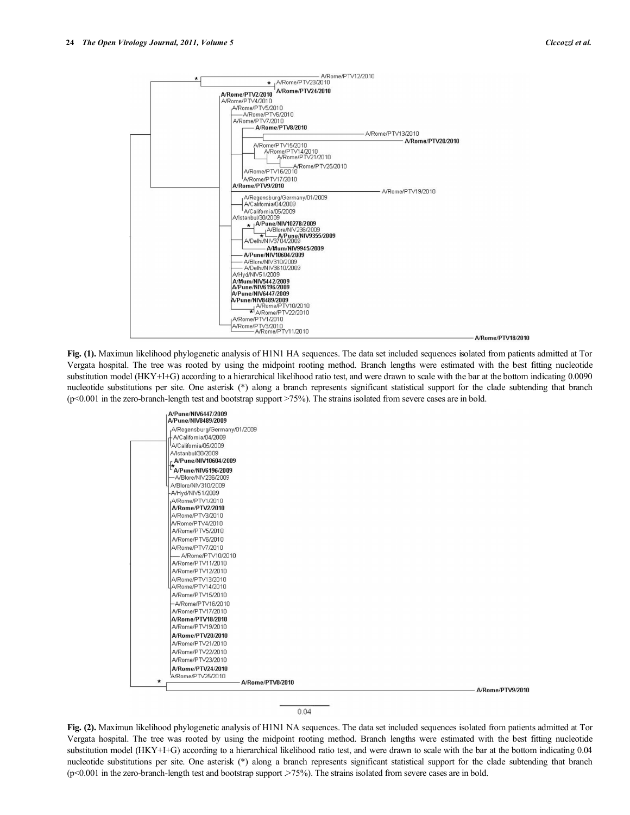

**Fig. (1).** Maximun likelihood phylogenetic analysis of H1N1 HA sequences. The data set included sequences isolated from patients admitted at Tor Vergata hospital. The tree was rooted by using the midpoint rooting method. Branch lengths were estimated with the best fitting nucleotide substitution model (HKY+I+G) according to a hierarchical likelihood ratio test, and were drawn to scale with the bar at the bottom indicating 0.0090 nucleotide substitutions per site. One asterisk (\*) along a branch represents significant statistical support for the clade subtending that branch  $(p<0.001$  in the zero-branch-length test and bootstrap support  $>75\%$ ). The strains isolated from severe cases are in bold.

| A/Pune/NIV6447/2009<br>A/Pune/NIV8489/2009 |                  |
|--------------------------------------------|------------------|
| A/Regensburg/Germany/01/2009               |                  |
| A/California/04/2009                       |                  |
| A/California/05/2009                       |                  |
| A/Istanbul/30/2009                         |                  |
| - A/Pune/NIV10604/2009                     |                  |
| A/Pune/NIV6196/2009                        |                  |
| -A/Blore/NIV236/2009                       |                  |
| A/Blore/NIV310/2009                        |                  |
| -A/Hyd/NIV51/2009                          |                  |
| A/Rome/PTV1/2010                           |                  |
| A/Rome/PTV2/2010                           |                  |
| A/Rome/PTV3/2010                           |                  |
| A/Rome/PTV4/2010                           |                  |
| A/Rome/PTV5/2010                           |                  |
| A/Rome/PTV6/2010                           |                  |
| A/Rome/PTV7/2010                           |                  |
| A/Rome/PTV10/2010                          |                  |
| A/Rome/PTV11/2010                          |                  |
| A/Rome/PTV12/2010                          |                  |
| A/Rome/PTV13/2010                          |                  |
| A/Rome/PTV14/2010                          |                  |
| A/Rome/PTV15/2010                          |                  |
| -A/Rome/PTV16/2010                         |                  |
| A/Rome/PTV17/2010                          |                  |
| A/Rome/PTV18/2010                          |                  |
| A/Rome/PTV19/2010                          |                  |
| A/Rome/PTV20/2010                          |                  |
| A/Rome/PTV21/2010                          |                  |
| A/Rome/PTV22/2010                          |                  |
| A/Rome/PTV23/2010                          |                  |
| A/Rome/PTV24/2010                          |                  |
| A/Rome/PTV25/2010                          |                  |
| $\star$<br>A/Rome/PTV8/2010                |                  |
|                                            | A/Rome/PTV9/2010 |

## $0.04$

**Fig. (2).** Maximun likelihood phylogenetic analysis of H1N1 NA sequences. The data set included sequences isolated from patients admitted at Tor Vergata hospital. The tree was rooted by using the midpoint rooting method. Branch lengths were estimated with the best fitting nucleotide substitution model (HKY+I+G) according to a hierarchical likelihood ratio test, and were drawn to scale with the bar at the bottom indicating 0.04 nucleotide substitutions per site. One asterisk (\*) along a branch represents significant statistical support for the clade subtending that branch  $(p<0.001$  in the zero-branch-length test and bootstrap support  $\geq 75\%$ ). The strains isolated from severe cases are in bold.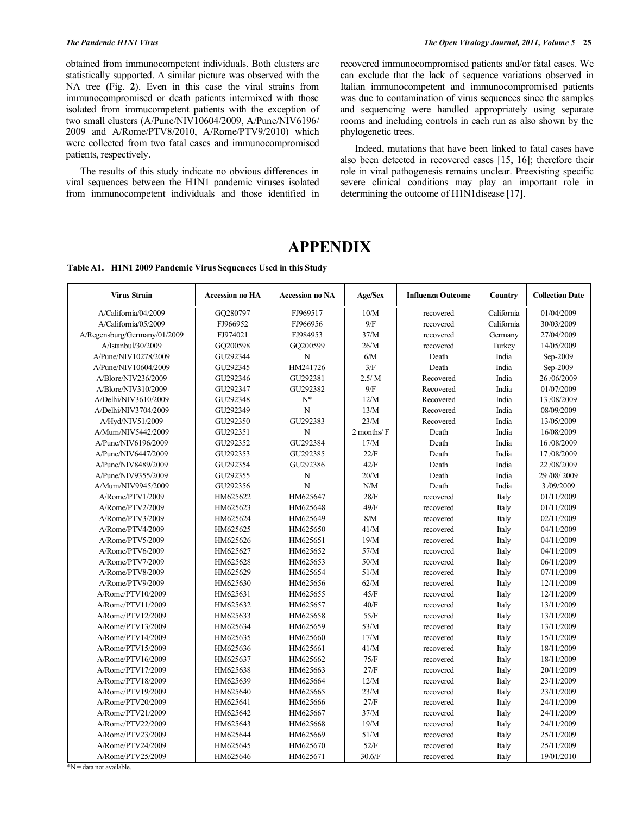obtained from immunocompetent individuals. Both clusters are statistically supported. A similar picture was observed with the NA tree (Fig. **2**). Even in this case the viral strains from immunocompromised or death patients intermixed with those isolated from immucompetent patients with the exception of two small clusters (A/Pune/NIV10604/2009, A/Pune/NIV6196/ 2009 and A/Rome/PTV8/2010, A/Rome/PTV9/2010) which were collected from two fatal cases and immunocompromised patients, respectively.

 The results of this study indicate no obvious differences in viral sequences between the H1N1 pandemic viruses isolated from immunocompetent individuals and those identified in recovered immunocompromised patients and/or fatal cases. We can exclude that the lack of sequence variations observed in Italian immunocompetent and immunocompromised patients was due to contamination of virus sequences since the samples and sequencing were handled appropriately using separate rooms and including controls in each run as also shown by the phylogenetic trees.

 Indeed, mutations that have been linked to fatal cases have also been detected in recovered cases [15, 16]; therefore their role in viral pathogenesis remains unclear. Preexisting specific severe clinical conditions may play an important role in determining the outcome of H1N1disease [17].

## **APPENDIX**

**Table A1. H1N1 2009 Pandemic Virus Sequences Used in this Study** 

| <b>Virus Strain</b>          | <b>Accession no HA</b> | <b>Accession no NA</b> | Age/Sex         | <b>Influenza Outcome</b> | Country    | <b>Collection Date</b> |
|------------------------------|------------------------|------------------------|-----------------|--------------------------|------------|------------------------|
| A/California/04/2009         | GO280797               | FJ969517               | 10/M            | recovered                | California | 01/04/2009             |
| A/California/05/2009         | FJ966952               | FJ966956               | 9/F             | recovered                | California | 30/03/2009             |
| A/Regensburg/Germany/01/2009 | FJ974021               | FJ984953               | 37/M            | recovered                | Germany    | 27/04/2009             |
| A/Istanbul/30/2009           | GQ200598               | GQ200599               | 26/M            | recovered                | Turkey     | 14/05/2009             |
| A/Pune/NIV10278/2009         | GU292344               | N                      | 6/M             | Death                    | India      | Sep-2009               |
| A/Pune/NIV10604/2009         | GU292345               | HM241726               | 3/F             | Death                    | India      | Sep-2009               |
| A/Blore/NIV236/2009          | GU292346               | GU292381               | 2.5/M           | Recovered                | India      | 26/06/2009             |
| A/Blore/NIV310/2009          | GU292347               | GU292382               | 9/F             | Recovered                | India      | 01/07/2009             |
| A/Delhi/NIV3610/2009         | GU292348               | $N^*$                  | 12/M            | Recovered                | India      | 13/08/2009             |
| A/Delhi/NIV3704/2009         | GU292349               | N                      | 13/M            | Recovered                | India      | 08/09/2009             |
| A/Hyd/NIV51/2009             | GU292350               | GU292383               | 23/M            | Recovered                | India      | 13/05/2009             |
| A/Mum/NIV5442/2009           | GU292351               | N                      | $2$ months/ $F$ | Death                    | India      | 16/08/2009             |
| A/Pune/NIV6196/2009          | GU292352               | GU292384               | 17/M            | Death                    | India      | 16/08/2009             |
| A/Pune/NIV6447/2009          | GU292353               | GU292385               | 22/F            | Death                    | India      | 17/08/2009             |
| A/Pune/NIV8489/2009          | GU292354               | GU292386               | 42/F            | Death                    | India      | 22/08/2009             |
| A/Pune/NIV9355/2009          | GU292355               | N                      | 20/M            | Death                    | India      | 29/08/2009             |
| A/Mum/NIV9945/2009           | GU292356               | N                      | N/M             | Death                    | India      | 3/09/2009              |
| A/Rome/PTV1/2009             | HM625622               | HM625647               | 28/F            | recovered                | Italy      | 01/11/2009             |
| A/Rome/PTV2/2009             | HM625623               | HM625648               | 49/F            | recovered                | Italy      | 01/11/2009             |
| A/Rome/PTV3/2009             | HM625624               | HM625649               | $8/M$           | recovered                | Italy      | 02/11/2009             |
| A/Rome/PTV4/2009             | HM625625               | HM625650               | 41/M            | recovered                | Italy      | 04/11/2009             |
| A/Rome/PTV5/2009             | HM625626               | HM625651               | 19/M            | recovered                | Italy      | 04/11/2009             |
| A/Rome/PTV6/2009             | HM625627               | HM625652               | 57/M            | recovered                | Italy      | 04/11/2009             |
| A/Rome/PTV7/2009             | HM625628               | HM625653               | 50/M            | recovered                | Italy      | 06/11/2009             |
| A/Rome/PTV8/2009             | HM625629               | HM625654               | 51/M            | recovered                | Italy      | 07/11/2009             |
| A/Rome/PTV9/2009             | HM625630               | HM625656               | 62/M            | recovered                | Italy      | 12/11/2009             |
| A/Rome/PTV10/2009            | HM625631               | HM625655               | 45/F            | recovered                | Italy      | 12/11/2009             |
| A/Rome/PTV11/2009            | HM625632               | HM625657               | 40/F            | recovered                | Italy      | 13/11/2009             |
| A/Rome/PTV12/2009            | HM625633               | HM625658               | 55/F            | recovered                | Italy      | 13/11/2009             |
| A/Rome/PTV13/2009            | HM625634               | HM625659               | 53/M            | recovered                | Italy      | 13/11/2009             |
| A/Rome/PTV14/2009            | HM625635               | HM625660               | 17/M            | recovered                | Italy      | 15/11/2009             |
| A/Rome/PTV15/2009            | HM625636               | HM625661               | 41/M            | recovered                | Italy      | 18/11/2009             |
| A/Rome/PTV16/2009            | HM625637               | HM625662               | 75/F            | recovered                | Italy      | 18/11/2009             |
| A/Rome/PTV17/2009            | HM625638               | HM625663               | 27/F            | recovered                | Italy      | 20/11/2009             |
| A/Rome/PTV18/2009            | HM625639               | HM625664               | 12/M            | recovered                | Italy      | 23/11/2009             |
| A/Rome/PTV19/2009            | HM625640               | HM625665               | 23/M            | recovered                | Italy      | 23/11/2009             |
| A/Rome/PTV20/2009            | HM625641               | HM625666               | 27/F            | recovered                | Italy      | 24/11/2009             |
| A/Rome/PTV21/2009            | HM625642               | HM625667               | 37/M            | recovered                | Italy      | 24/11/2009             |
| A/Rome/PTV22/2009            | HM625643               | HM625668               | 19/M            | recovered                | Italy      | 24/11/2009             |
| A/Rome/PTV23/2009            | HM625644               | HM625669               | 51/M            | recovered                | Italy      | 25/11/2009             |
| A/Rome/PTV24/2009            | HM625645               | HM625670               | 52/F            | recovered                | Italy      | 25/11/2009             |
| A/Rome/PTV25/2009            | HM625646               | HM625671               | 30.6/F          | recovered                | Italy      | 19/01/2010             |

\*N = data not available.